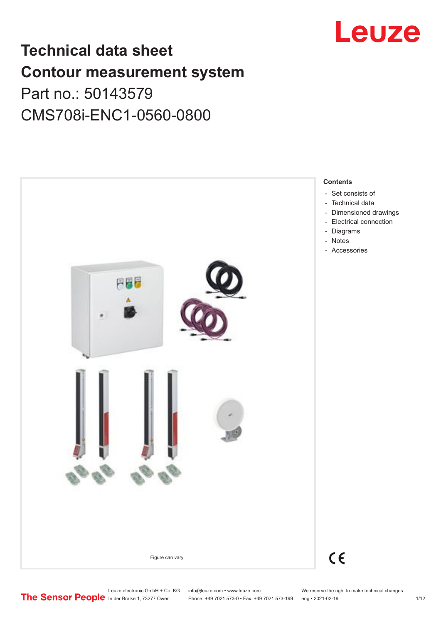

# **Technical data sheet Contour measurement system** Part no.: 50143579

CMS708i-ENC1-0560-0800



Leuze electronic GmbH + Co. KG info@leuze.com • www.leuze.com We reserve the right to make technical changes<br>
The Sensor People in der Braike 1, 73277 Owen Phone: +49 7021 573-0 • Fax: +49 7021 573-199 eng • 2021-02-19

Phone: +49 7021 573-0 • Fax: +49 7021 573-199 eng • 2021-02-19 1/12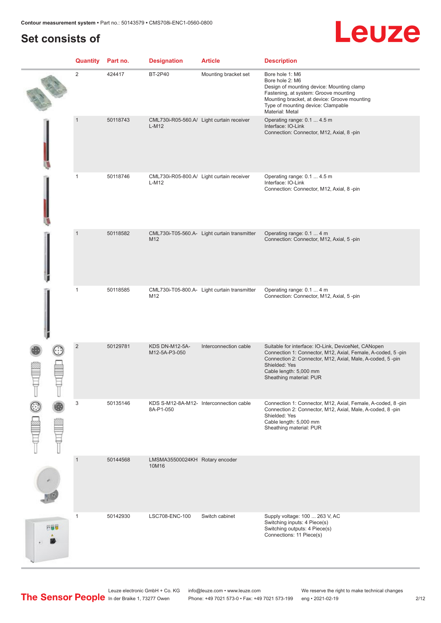# **Set consists of**

# Leuze

|     | <b>Quantity</b> Part no. |          | <b>Designation</b>                      | <b>Article</b>                               | <b>Description</b>                                                                                                                                                                                                                                    |
|-----|--------------------------|----------|-----------------------------------------|----------------------------------------------|-------------------------------------------------------------------------------------------------------------------------------------------------------------------------------------------------------------------------------------------------------|
|     | $\overline{2}$           | 424417   | <b>BT-2P40</b>                          | Mounting bracket set                         | Bore hole 1: M6<br>Bore hole 2: M6<br>Design of mounting device: Mounting clamp<br>Fastening, at system: Groove mounting<br>Mounting bracket, at device: Groove mounting<br>Type of mounting device: Clampable<br>Material: Metal                     |
|     | $\mathbf{1}$             | 50118743 | $L-M12$                                 | CML730i-R05-560.A/ Light curtain receiver    | Operating range: 0.1  4.5 m<br>Interface: IO-Link<br>Connection: Connector, M12, Axial, 8-pin                                                                                                                                                         |
|     | $\mathbf{1}$             | 50118746 | $L-M12$                                 | CML730i-R05-800.A/ Light curtain receiver    | Operating range: 0.1  4.5 m<br>Interface: IO-Link<br>Connection: Connector, M12, Axial, 8-pin                                                                                                                                                         |
|     | $\mathbf{1}$             | 50118582 | M12                                     | CML730i-T05-560.A- Light curtain transmitter | Operating range: 0.1  4 m<br>Connection: Connector, M12, Axial, 5-pin                                                                                                                                                                                 |
|     | $\mathbf{1}$             | 50118585 | M12                                     | CML730i-T05-800.A- Light curtain transmitter | Operating range: 0.1  4 m<br>Connection: Connector, M12, Axial, 5-pin                                                                                                                                                                                 |
|     | $\overline{2}$           | 50129781 | <b>KDS DN-M12-5A-</b><br>M12-5A-P3-050  | Interconnection cable                        | Suitable for interface: IO-Link, DeviceNet, CANopen<br>Connection 1: Connector, M12, Axial, Female, A-coded, 5-pin<br>Connection 2: Connector, M12, Axial, Male, A-coded, 5-pin<br>Shielded: Yes<br>Cable length: 5,000 mm<br>Sheathing material: PUR |
|     | 3                        | 50135146 | 8A-P1-050                               | KDS S-M12-8A-M12- Interconnection cable      | Connection 1: Connector, M12, Axial, Female, A-coded, 8-pin<br>Connection 2: Connector, M12, Axial, Male, A-coded, 8-pin<br>Shielded: Yes<br>Cable length: 5,000 mm<br>Sheathing material: PUR                                                        |
|     | $\mathbf{1}$             | 50144568 | LMSMA35500024KH Rotary encoder<br>10M16 |                                              |                                                                                                                                                                                                                                                       |
| 円線位 | $\mathbf{1}$             | 50142930 | LSC708-ENC-100                          | Switch cabinet                               | Supply voltage: 100  263 V, AC<br>Switching inputs: 4 Piece(s)<br>Switching outputs: 4 Piece(s)<br>Connections: 11 Piece(s)                                                                                                                           |

Leuze electronic GmbH + Co. KG info@leuze.com • www.leuze.com We reserve the right to make technical changes In der Braike 1, 73277 Owen Phone: +49 7021 573-0 • Fax: +49 7021 573-199 eng • 2021-02-19 2/12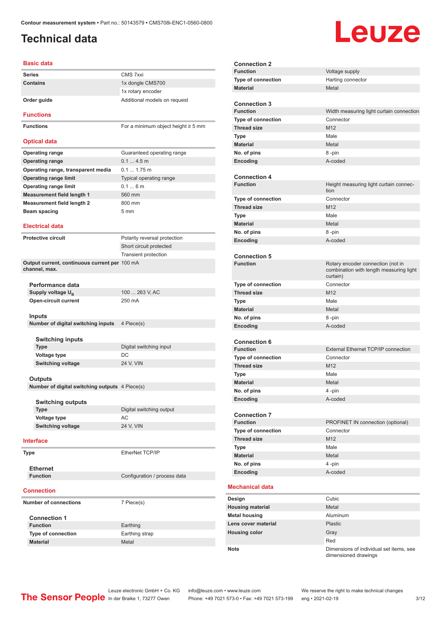# <span id="page-2-0"></span>**Technical data**

# Leuze

#### **Basic data**

| Basic data                                                     |                                         |
|----------------------------------------------------------------|-----------------------------------------|
| <b>Series</b>                                                  | CMS 7xxi                                |
| <b>Contains</b>                                                | 1x dongle CMS700                        |
|                                                                | 1x rotary encoder                       |
| Order guide                                                    | Additional models on request            |
| <b>Functions</b>                                               |                                         |
| <b>Functions</b>                                               | For a minimum object height $\geq$ 5 mm |
| <b>Optical data</b>                                            |                                         |
| <b>Operating range</b>                                         | Guaranteed operating range              |
| <b>Operating range</b>                                         | 0.14.5m                                 |
| Operating range, transparent media                             | $0.1 1.75$ m                            |
| <b>Operating range limit</b>                                   | Typical operating range                 |
| <b>Operating range limit</b>                                   | 0.16m                                   |
| <b>Measurement field length 1</b>                              | 560 mm                                  |
| <b>Measurement field length 2</b>                              | 800 mm                                  |
| Beam spacing                                                   | 5 <sub>mm</sub>                         |
|                                                                |                                         |
| <b>Electrical data</b>                                         |                                         |
| <b>Protective circuit</b>                                      | Polarity reversal protection            |
|                                                                | Short circuit protected                 |
|                                                                | Transient protection                    |
| Output current, continuous current per 100 mA<br>channel, max. |                                         |
| Performance data                                               |                                         |
| Supply voltage U <sub>R</sub>                                  | 100  263 V, AC                          |
| <b>Open-circuit current</b>                                    | 250 mA                                  |
| <b>Inputs</b>                                                  |                                         |
| Number of digital switching inputs                             | 4 Piece(s)                              |
|                                                                |                                         |
| <b>Switching inputs</b>                                        |                                         |
| <b>Type</b>                                                    | Digital switching input                 |
| Voltage type                                                   | DC                                      |
| <b>Switching voltage</b>                                       | 24 V, VIN                               |
| Outputs                                                        |                                         |
| Number of digital switching outputs 4 Piece(s)                 |                                         |
|                                                                |                                         |
| <b>Switching outputs</b><br><b>Type</b>                        | Digital switching output                |
|                                                                | AC                                      |
| Voltage type<br><b>Switching voltage</b>                       | 24 V, VIN                               |
|                                                                |                                         |
| Interface                                                      |                                         |
| <b>Type</b>                                                    | EtherNet TCP/IP                         |
| <b>Ethernet</b>                                                |                                         |
| <b>Function</b>                                                | Configuration / process data            |
| <b>Connection</b>                                              |                                         |
| <b>Number of connections</b>                                   | 7 Piece(s)                              |
| <b>Connection 1</b>                                            |                                         |
| <b>Function</b>                                                | Earthing                                |
| <b>Type of connection</b>                                      | Earthing strap                          |
| <b>Material</b>                                                | Metal                                   |

| <b>Connection 2</b>                    |                                                                                          |
|----------------------------------------|------------------------------------------------------------------------------------------|
| <b>Function</b>                        | Voltage supply                                                                           |
| <b>Type of connection</b>              | Harting connector                                                                        |
| <b>Material</b>                        | Metal                                                                                    |
|                                        |                                                                                          |
| <b>Connection 3</b>                    |                                                                                          |
| <b>Function</b>                        | Width measuring light curtain connection                                                 |
| <b>Type of connection</b>              | Connector                                                                                |
| <b>Thread size</b>                     | M12                                                                                      |
| Type                                   | Male                                                                                     |
| <b>Material</b>                        | Metal                                                                                    |
| No. of pins                            | 8-pin                                                                                    |
| Encoding                               | A-coded                                                                                  |
|                                        |                                                                                          |
| <b>Connection 4</b>                    |                                                                                          |
| <b>Function</b>                        | Height measuring light curtain connec-<br>tion                                           |
| Type of connection                     | Connector                                                                                |
| <b>Thread size</b>                     | M <sub>12</sub>                                                                          |
| Type                                   | Male                                                                                     |
| <b>Material</b>                        | Metal                                                                                    |
| No. of pins                            | 8-pin                                                                                    |
| Encoding                               | A-coded                                                                                  |
|                                        |                                                                                          |
| <b>Connection 5</b>                    |                                                                                          |
| <b>Function</b>                        | Rotary encoder connection (not in<br>combination with length measuring light<br>curtain) |
| <b>Type of connection</b>              | Connector                                                                                |
| <b>Thread size</b>                     | M12                                                                                      |
| <b>Type</b>                            | Male                                                                                     |
| <b>Material</b>                        | Metal                                                                                    |
| No. of pins                            | 8-pin                                                                                    |
| Encoding                               | A-coded                                                                                  |
|                                        |                                                                                          |
| <b>Connection 6</b><br><b>Function</b> | <b>External Ethernet TCP/IP connection</b>                                               |
| Type of connection                     | Connector                                                                                |
| <b>Thread size</b>                     | M12                                                                                      |
| Type                                   | Male                                                                                     |
| <b>Material</b>                        | Metal                                                                                    |
| No. of pins                            | 4 -pin                                                                                   |
| Encoding                               | A-coded                                                                                  |
|                                        |                                                                                          |
| <b>Connection 7</b>                    |                                                                                          |
| <b>Function</b>                        | PROFINET IN connection (optional)                                                        |
| Type of connection                     | Connector                                                                                |
| <b>Thread size</b>                     | M12                                                                                      |
| <b>Type</b>                            | Male                                                                                     |
| <b>Material</b>                        | Metal                                                                                    |
| No. of pins                            | 4-pin                                                                                    |
| Encoding                               | A-coded                                                                                  |
|                                        |                                                                                          |
| <b>Mechanical data</b>                 |                                                                                          |
| Design                                 | Cubic                                                                                    |
| <b>Housing material</b>                | Metal                                                                                    |
| <b>Metal housing</b>                   | Aluminum                                                                                 |
| Lens cover material                    | <b>Plastic</b>                                                                           |
| <b>Housing color</b>                   | Gray                                                                                     |
|                                        | Red                                                                                      |
| Note                                   | Dimensions of individual set items, see<br>dimensioned drawings                          |

Leuze electronic GmbH + Co. KG info@leuze.com • www.leuze.com We reserve the right to make technical changes In der Braike 1, 73277 Owen Phone: +49 7021 573-0 • Fax: +49 7021 573-199 eng • 2021-02-19 3/12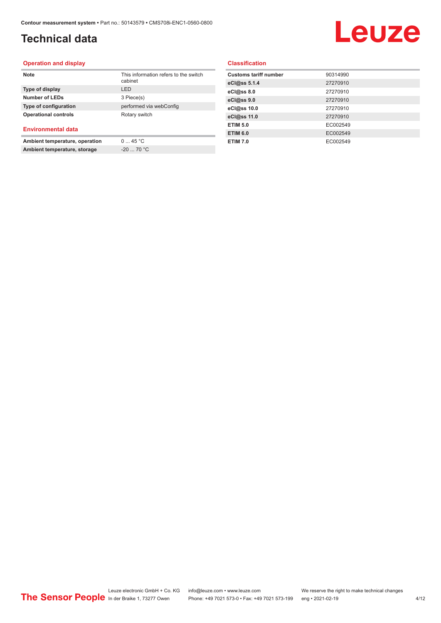# **Technical data**

# Leuze

#### **Operation and display**

| <b>Note</b>                    | This information refers to the switch<br>cabinet |
|--------------------------------|--------------------------------------------------|
| Type of display                | I FD                                             |
| <b>Number of LEDs</b>          | 3 Piece(s)                                       |
| Type of configuration          | performed via webConfig                          |
| <b>Operational controls</b>    | Rotary switch                                    |
| <b>Environmental data</b>      |                                                  |
| Ambient temperature, operation | 045 °C                                           |

**Ambient temperature, storage** -20 ... 70 °C

**Classification**

| 90314990 |
|----------|
| 27270910 |
| 27270910 |
| 27270910 |
| 27270910 |
| 27270910 |
| EC002549 |
| EC002549 |
| EC002549 |
|          |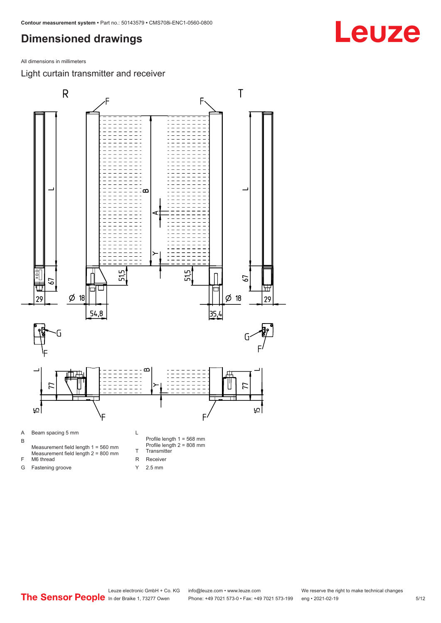<span id="page-4-0"></span>All dimensions in millimeters

Light curtain transmitter and receiver



Y 2.5 mm

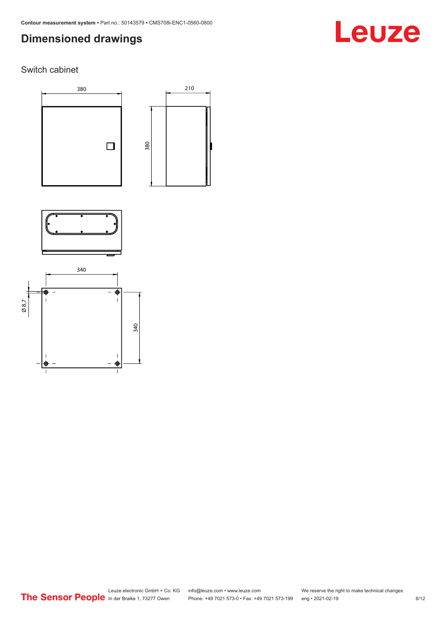# Leuze

### Switch cabinet





210



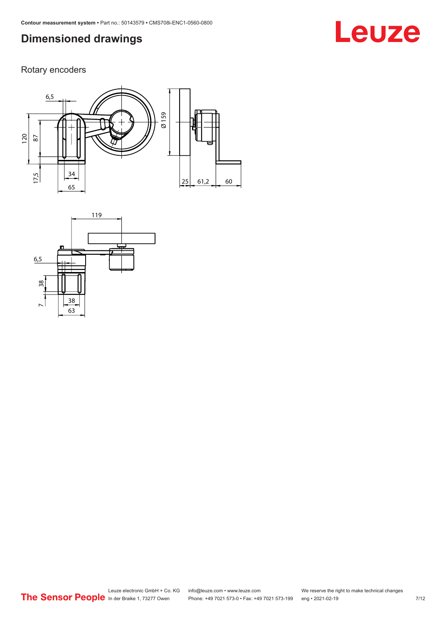# **Leuze**

Rotary encoders



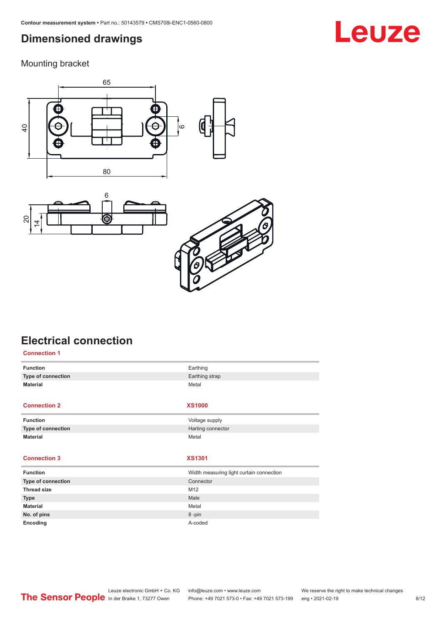<span id="page-7-0"></span>Mounting bracket







# **Electrical connection**

| <b>Connection 1</b> |                                          |
|---------------------|------------------------------------------|
| <b>Function</b>     | Earthing                                 |
| Type of connection  | Earthing strap                           |
| <b>Material</b>     | Metal                                    |
|                     |                                          |
| <b>Connection 2</b> | <b>XS1000</b>                            |
| <b>Function</b>     | Voltage supply                           |
| Type of connection  | Harting connector                        |
| <b>Material</b>     | Metal                                    |
|                     |                                          |
| <b>Connection 3</b> | <b>XS1301</b>                            |
| <b>Function</b>     | Width measuring light curtain connection |
| Type of connection  | Connector                                |
| <b>Thread size</b>  | M12                                      |
| <b>Type</b>         | Male                                     |
| <b>Material</b>     | Metal                                    |
| No. of pins         | 8-pin                                    |
| Encoding            | A-coded                                  |

# **Leuze**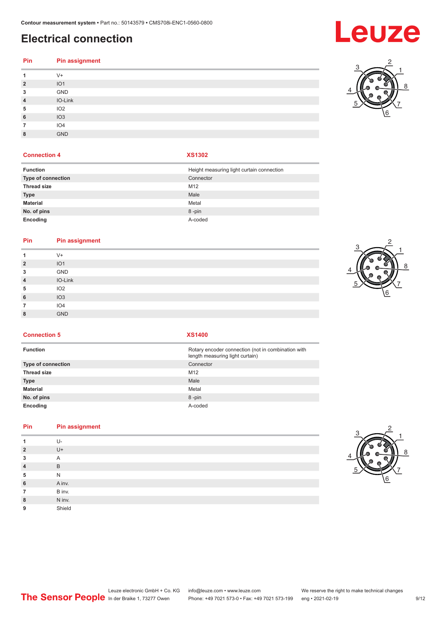# **Electrical connection**

| Pin            | <b>Pin assignment</b> |
|----------------|-----------------------|
| 1              | $V +$                 |
| $\overline{2}$ | IO1                   |
| 3              | GND                   |
| $\overline{4}$ | IO-Link               |
| 5              | IO <sub>2</sub>       |
| 6              | IO3                   |
| 7              | IO4                   |
| 8              | <b>GND</b>            |

#### **Connection 4 XS1302**

| <b>Function</b>           | Height measuring light curtain connection |
|---------------------------|-------------------------------------------|
| <b>Type of connection</b> | Connector                                 |
| <b>Thread size</b>        | M <sub>12</sub>                           |
| <b>Type</b>               | Male                                      |
| <b>Material</b>           | Metal                                     |
| No. of pins               | 8-pin                                     |
| Encoding                  | A-coded                                   |

#### **Pin Pin assignment**

|                | $V +$           |
|----------------|-----------------|
| $\overline{2}$ | IO <sub>1</sub> |
| 3              | GND             |
| $\overline{4}$ | IO-Link         |
| 5              | IO <sub>2</sub> |
| 6              | IO3             |
| 7              | IO4             |
| 8              | GND             |
|                |                 |



**Connection 5 XS1400**

| <b>Function</b>           | Rotary encoder connection (not in combination with<br>length measuring light curtain) |
|---------------------------|---------------------------------------------------------------------------------------|
| <b>Type of connection</b> | Connector                                                                             |
| <b>Thread size</b>        | M <sub>12</sub>                                                                       |
| Type                      | Male                                                                                  |
| Material                  | Metal                                                                                 |
| No. of pins               | 8-pin                                                                                 |
| Encoding                  | A-coded                                                                               |

### **Pin Pin assignment**

| 1              | $U-$   |
|----------------|--------|
| $\overline{2}$ | $U +$  |
| 3              | A      |
| $\overline{4}$ | B      |
| 5              | N      |
| 6              | A inv. |
| 7              | B inv. |
| 8              | N inv. |
| 9              | Shield |
|                |        |



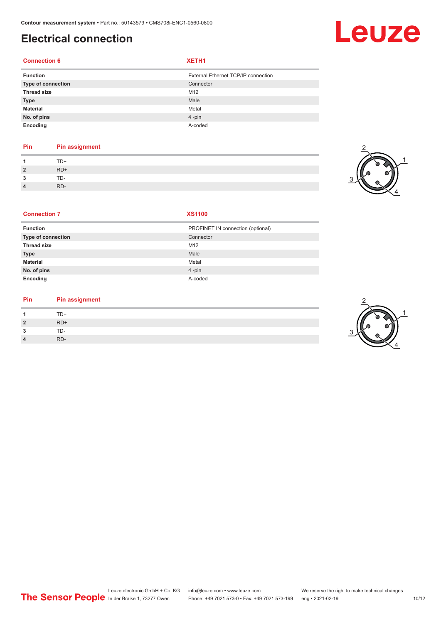# **Electrical connection**

#### **Connection 6 XETH1**

| <b>Function</b>    | External Ethernet TCP/IP connection |
|--------------------|-------------------------------------|
| Type of connection | Connector                           |
| <b>Thread size</b> | M12                                 |
| <b>Type</b>        | Male                                |
| <b>Material</b>    | Metal                               |
| No. of pins        | $4$ -pin                            |
| Encoding           | A-coded                             |

### **Pin Pin assignment**

| $\boldsymbol{A}$ | .     |
|------------------|-------|
| $\overline{2}$   | $RD+$ |
| $\mathbf{3}$     | TD-   |
| $\overline{4}$   | RD-   |



Leuze

#### **Connection 7 XS1100**

| <b>Function</b>    | PROFINET IN connection (optional) |
|--------------------|-----------------------------------|
| Type of connection | Connector                         |
| <b>Thread size</b> | M12                               |
| <b>Type</b>        | Male                              |
| <b>Material</b>    | Metal                             |
| No. of pins        | $4 - pin$                         |
| Encoding           | A-coded                           |

#### **Pin Pin assignment**

| $\overline{A}$ | TD+   |
|----------------|-------|
| $\overline{2}$ | $RD+$ |
| 3              | TD-   |
| $\overline{4}$ | RD-   |

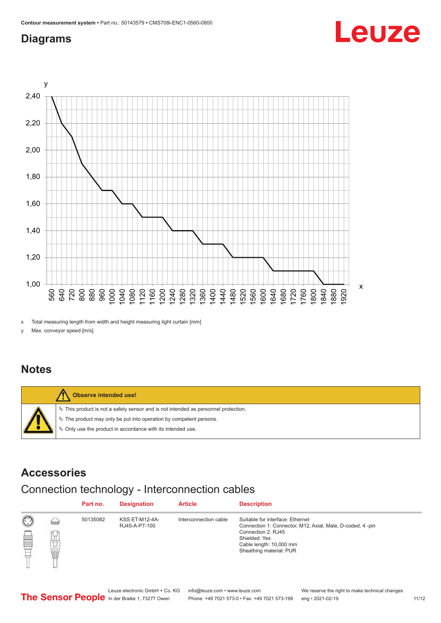## <span id="page-10-0"></span>**Diagrams**



x Total measuring length from width and height measuring light curtain [mm]

y Max. conveyor speed [m/s]

### **Notes**



### **Accessories**

# Connection technology - Interconnection cables

|   |                      | Part no. | <b>Designation</b>                     | <b>Article</b>        | <b>Description</b>                                                                                                                                                                         |
|---|----------------------|----------|----------------------------------------|-----------------------|--------------------------------------------------------------------------------------------------------------------------------------------------------------------------------------------|
| ▩ | <b>Service</b><br>甘量 | 50135082 | <b>KSS ET-M12-4A-</b><br>RJ45-A-P7-100 | Interconnection cable | Suitable for interface: Ethernet<br>Connection 1: Connector, M12, Axial, Male, D-coded, 4-pin<br>Connection 2: RJ45<br>Shielded: Yes<br>Cable length: 10,000 mm<br>Sheathing material: PUR |

Leuze